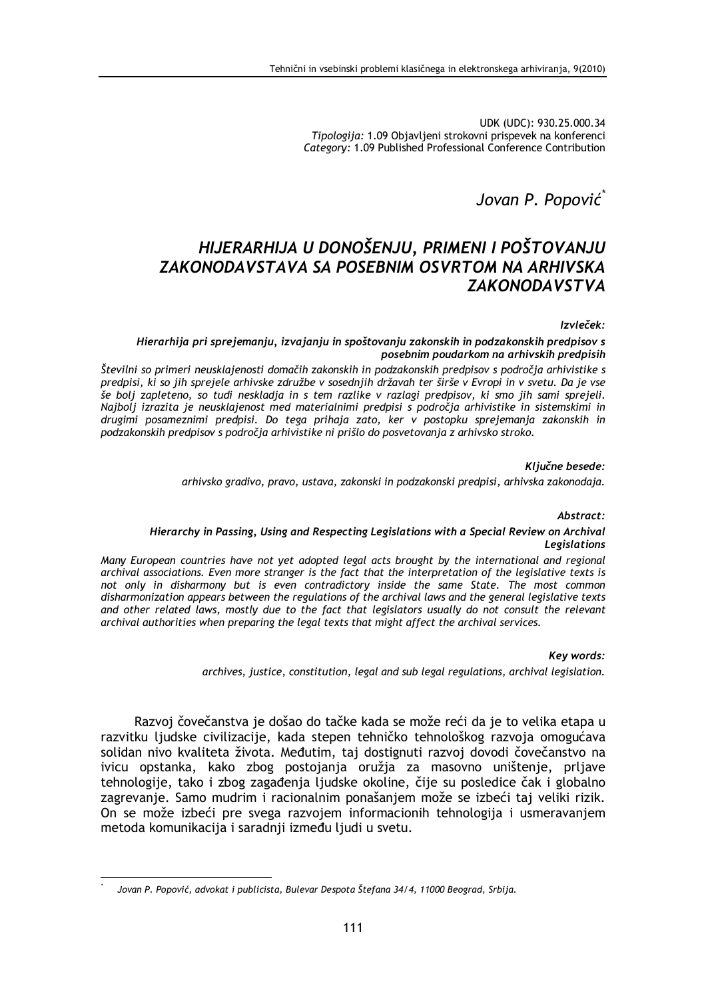UDK (UDC): 930.25.000.34 Tipologija: 1.09 Objavljeni strokovni prispevek na konferenci Category: 1.09 Published Professional Conference Contribution

Jovan P. Popović

# HIJERARHIJA U DONOŠENJU, PRIMENI I POŠTOVANJU **ZAKONODAVSTAVA SA POSEBNIM OSVRTOM NA ARHIVSKA ZAKONODAVSTVA**

# Izvleček:

Hierarhija pri sprejemanju, izvajanju in spoštovanju zakonskih in podzakonskih predpisov s posebnim poudarkom na arhivskih predpisih

Številni so primeri neusklajenosti domačih zakonskih in podzakonskih predpisov s področja arhivistike s predpisi, ki so jih sprejele arhivske združbe v sosednjih državah ter širše v Evropi in v svetu. Da je vse še bolj zapleteno, so tudi neskladja in s tem razlike v razlagi predpisov, ki smo jih sami sprejeli. Najbolj izrazita je neusklajenost med materialnimi predpisi s področja arhivistike in sistemskimi in drugimi posameznimi predpisi. Do tega prihaja zato, ker v postopku sprejemanja zakonskih in podzakonskih predpisov s področja arhivistike ni prišlo do posvetovanja z arhivsko stroko.

### Ključne besede:

arhivsko gradivo, pravo, ustava, zakonski in podzakonski predpisi, arhivska zakonodaja.

# Abstract:

# Hierarchy in Passing, Using and Respecting Legislations with a Special Review on Archival **Legislations**

Many European countries have not vet adopted legal acts brought by the international and regional archival associations. Even more stranger is the fact that the interpretation of the legislative texts is not only in disharmony but is even contradictory inside the same State. The most common disharmonization appears between the regulations of the archival laws and the general legislative texts and other related laws, mostly due to the fact that legislators usually do not consult the relevant archival authorities when preparing the legal texts that might affect the archival services.

Key words:

archives, justice, constitution, legal and sub legal regulations, archival legislation.

Razvoj čovečanstva je došao do tačke kada se može reći da je to velika etapa u razvitku ljudske civilizacije, kada stepen tehničko tehnološkog razvoja omogućava solidan nivo kvaliteta života. Međutim, taj dostignuti razvoj dovodi čovečanstvo na ivicu opstanka, kako zbog postojanja oružja za masovno uništenje, prljave tehnologije, tako i zbog zagađenja ljudske okoline, čije su posledice čak i globalno zagrevanje. Samo mudrim i racionalnim ponašanjem može se izbeći taj veliki rizik. On se može izbeći pre svega razvojem informacionih tehnologija i usmeravanjem metoda komunikacija i saradnji između ljudi u svetu.

Jovan P. Popović, advokat i publicista, Bulevar Despota Štefana 34/4, 11000 Beograd, Srbija.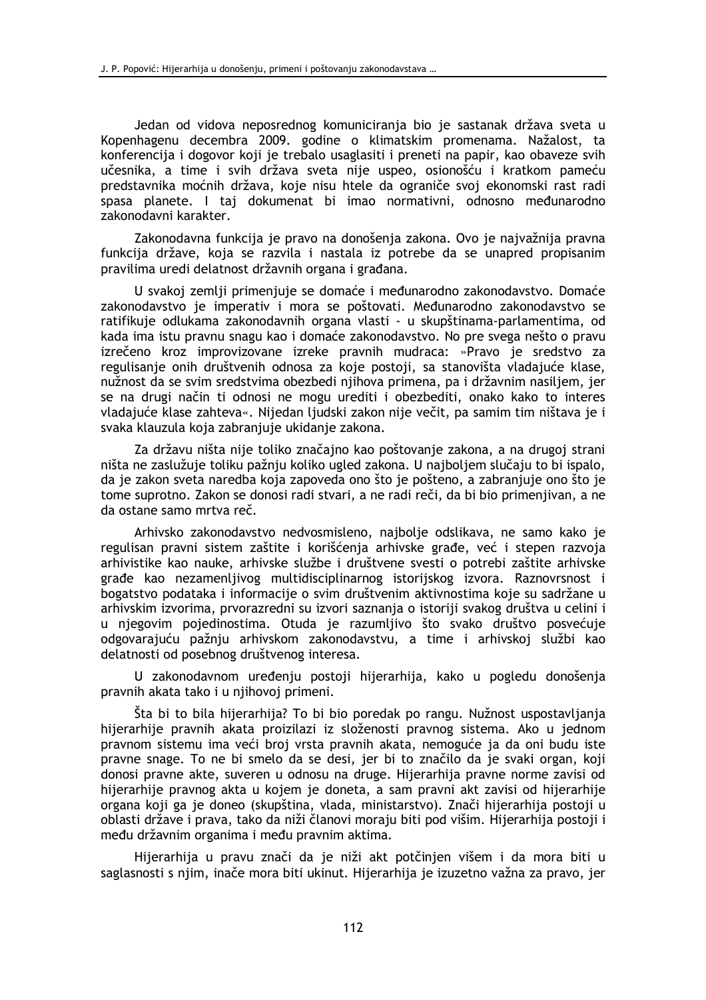Jedan od vidova neposrednog komuniciranja bio je sastanak država sveta u Kopenhagenu decembra 2009. godine o klimatskim promenama. Nažalost, ta konferencija i dogovor koji je trebalo usaglasiti i preneti na papir, kao obaveze svih učesnika, a time i svih država sveta nije uspeo, osionošću i kratkom pameću predstavnika moćnih država, koje nisu htele da ograniče svoj ekonomski rast radi spasa planete. I taj dokumenat bi imao normativni, odnosno međunarodno zakonodavni karakter.

Zakonodavna funkcija je pravo na donošenja zakona. Ovo je najvažnija pravna funkcija države, koja se razvila i nastala iz potrebe da se unapred propisanim pravilima uredi delatnost državnih organa i građana.

U svakoj zemlji primenjuje se domaće i međunarodno zakonodavstvo. Domaće zakonodavstvo je imperativ i mora se poštovati. Međunarodno zakonodavstvo se ratifikuje odlukama zakonodavnih organa vlasti - u skupštinama-parlamentima, od kada ima istu pravnu snagu kao i domaće zakonodavstvo. No pre svega nešto o pravu izrečeno kroz improvizovane izreke pravnih mudraca: »Pravo je sredstvo za regulisanje onih društvenih odnosa za koje postoji, sa stanovišta vladajuće klase, nužnost da se svim sredstvima obezbedi njihova primena, pa i državnim nasiljem, jer se na drugi način ti odnosi ne mogu urediti i obezbediti, onako kako to interes vladajuće klase zahteva«. Nijedan ljudski zakon nije večit, pa samim tim ništava je i svaka klauzula koja zabranjuje ukidanje zakona.

Za državu ništa nije toliko značajno kao poštovanje zakona, a na drugoj strani ništa ne zaslužuje toliku pažnju koliko ugled zakona. U najboljem slučaju to bi ispalo, da je zakon sveta naredba koja zapoveda ono što je pošteno, a zabranjuje ono što je tome suprotno. Zakon se donosi radi stvari, a ne radi reči, da bi bio primenjivan, a ne da ostane samo mrtva reč.

Arhivsko zakonodavstvo nedvosmisleno, najbolje odslikava, ne samo kako je regulisan pravni sistem zaštite i korišćenja arhivske građe, već i stepen razvoja arhivistike kao nauke, arhivske službe i društvene svesti o potrebi zaštite arhivske građe kao nezamenljivog multidisciplinarnog istorijskog izvora. Raznovrsnost i bogatstvo podataka i informacije o svim društvenim aktivnostima koje su sadržane u arhivskim izvorima, prvorazredni su izvori saznanja o istoriji svakog društva u celini i u njegovim pojedinostima. Otuda je razumljivo što svako društvo posvećuje odgovarajuću pažnju arhivskom zakonodavstvu, a time i arhivskoj službi kao delatnosti od posebnog društvenog interesa.

U zakonodavnom uređenju postoji hijerarhija, kako u pogledu donošenja pravnih akata tako i u njihovoj primeni.

Šta bi to bila hijerarhija? To bi bio poredak po rangu. Nužnost uspostavljanja hijerarhije pravnih akata proizilazi iz složenosti pravnog sistema. Ako u jednom pravnom sistemu ima veći broj vrsta pravnih akata, nemoguće ja da oni budu iste pravne snage. To ne bi smelo da se desi, jer bi to značilo da je svaki organ, koji donosi pravne akte, suveren u odnosu na druge. Hijerarhija pravne norme zavisi od hijerarhije pravnog akta u kojem je doneta, a sam pravni akt zavisi od hijerarhije organa koji ga je doneo (skupština, vlada, ministarstvo). Znači hijerarhija postoji u oblasti države i prava, tako da niži članovi moraju biti pod višim. Hijerarhija postoji i među državnim organima i među pravnim aktima.

Hijerarhija u pravu znači da je niži akt potčinjen višem i da mora biti u saglasnosti s njim, inače mora biti ukinut. Hijerarhija je izuzetno važna za pravo, jer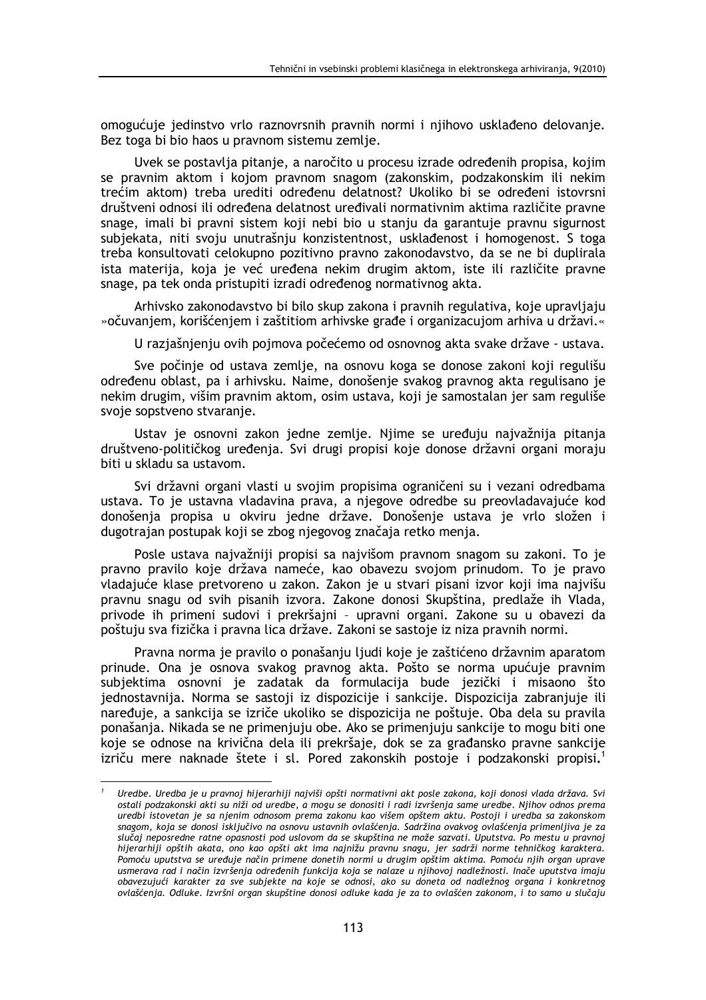omogućuje jedinstvo vrlo raznovrsnih pravnih normi i njihovo usklađeno delovanje. Bez toga bi bio haos u pravnom sistemu zemlje.

Uvek se postavlja pitanje, a naročito u procesu izrade određenih propisa, kojim se pravnim aktom i kojom pravnom snagom (zakonskim, podzakonskim ili nekim trećim aktom) treba urediti određenu delatnost? Ukoliko bi se određeni istovrsni društveni odnosi ili određena delatnost uređivali normativnim aktima različite pravne snage, imali bi pravni sistem koji nebi bio u stanju da garantuje pravnu sigurnost subjekata, niti svoju unutrašnju konzistentnost, usklađenost i homogenost. S toga treba konsultovati celokupno pozitivno pravno zakonodavstvo, da se ne bi duplirala ista materija, koja je već uređena nekim drugim aktom, iste ili različite pravne snage, pa tek onda pristupiti izradi određenog normativnog akta.

Arhivsko zakonodavstvo bi bilo skup zakona i pravnih regulativa, koje upravljaju » očuvanjem, korišćenjem i zaštitiom arhivske građe i organizacujom arhiva u državi.

U razjašnjenju ovih pojmova počećemo od osnovnog akta svake države - ustava.

Sve počinje od ustava zemlje, na osnovu koga se donose zakoni koji regulišu određenu oblast, pa i arhivsku. Naime, donošenje svakog pravnog akta regulisano je nekim drugim, višim pravnim aktom, osim ustava, koji je samostalan jer sam reguliše svoje sopstveno stvaranje.

Ustav je osnovni zakon jedne zemlje. Njime se uređuju najvažnija pitanja društveno-političkog uređenia. Svi drugi propisi koje donose državni organi moraju biti u skladu sa ustavom.

Svi državni organi vlasti u svojim propisima ograničeni su i vezani odredbama ustava. To je ustavna vladavina prava, a njegove odredbe su preovladavajuće kod donošenia propisa u okviru jedne države. Donošenie ustava je vrlo složen i dugotrajan postupak koji se zbog njegovog značaja retko menja.

Posle ustava najvažniji propisi sa najvišom pravnom snagom su zakoni. To je pravno pravilo koje država nameće, kao obavezu svojom prinudom. To je pravo vladajuće klase pretvoreno u zakon. Zakon je u stvari pisani izvor koji ima najvišu pravnu snagu od svih pisanih izvora. Zakone donosi Skupština, predlaže ih Vlada, privode ih primeni sudovi i prekršajni - upravni organi. Zakone su u obavezi da poštuju sva fizička i pravna lica države. Zakoni se sastoje iz niza pravnih normi.

Pravna norma je pravilo o ponašanju ljudi koje je zaštićeno državnim aparatom prinude. Ona je osnova svakog pravnog akta. Pošto se norma upućuje pravnim subjektima osnovni je zadatak da formulacija bude jezički i misaono što jednostavnija. Norma se sastoji iz dispozicije i sankcije. Dispozicija zabranjuje ili naređuje, a sankcija se izriče ukoliko se dispozicija ne poštuje. Oba dela su pravila ponašanja. Nikada se ne primenjuju obe. Ako se primenjuju sankcije to mogu biti one koje se odnose na krivična dela ili prekršaje, dok se za građansko pravne sankcije izriču mere naknade štete i sl. Pored zakonskih postoje i podzakonski propisi.<sup>1</sup>

Uredbe. Uredba je u pravnoj hijerarhiji najviši opšti normativni akt posle zakona, koji donosi vlada država. Svi ostali podzakonski akti su niži od uredbe, a mogu se donositi i radi izvršenia same uredbe. Nijhov odnos prema uredbi istovetan je sa njenim odnosom prema zakonu kao višem opštem aktu. Postoji i uredba sa zakonskom snagom, koja se donosi isključivo na osnovu ustavnih ovlašćenja. Sadržina ovakvog ovlašćenja primenljiva je za slučaj neposredne ratne opasnosti pod uslovom da se skupština ne može sazvati. Uputstva. Po mestu u pravnoj hijerarhiji opštih akata, ono kao opšti akt ima najnižu pravnu snagu, jer sadrži norme tehničkog karaktera. Pomoću uputstva se uređuje način primene donetih normi u drugim opštim aktima. Pomoću njih organ uprave usmerava rad i način izvršenja određenih funkcija koja se nalaze u njihovoj nadležnosti. Inače uputstva imaju obavezujući karakter za sve subjekte na koje se odnosi, ako su doneta od nadležnog organa i konkretnog ovlašćenja. Odluke. Izvršni organ skupštine donosi odluke kada je za to ovlašćen zakonom, i to samo u slučaju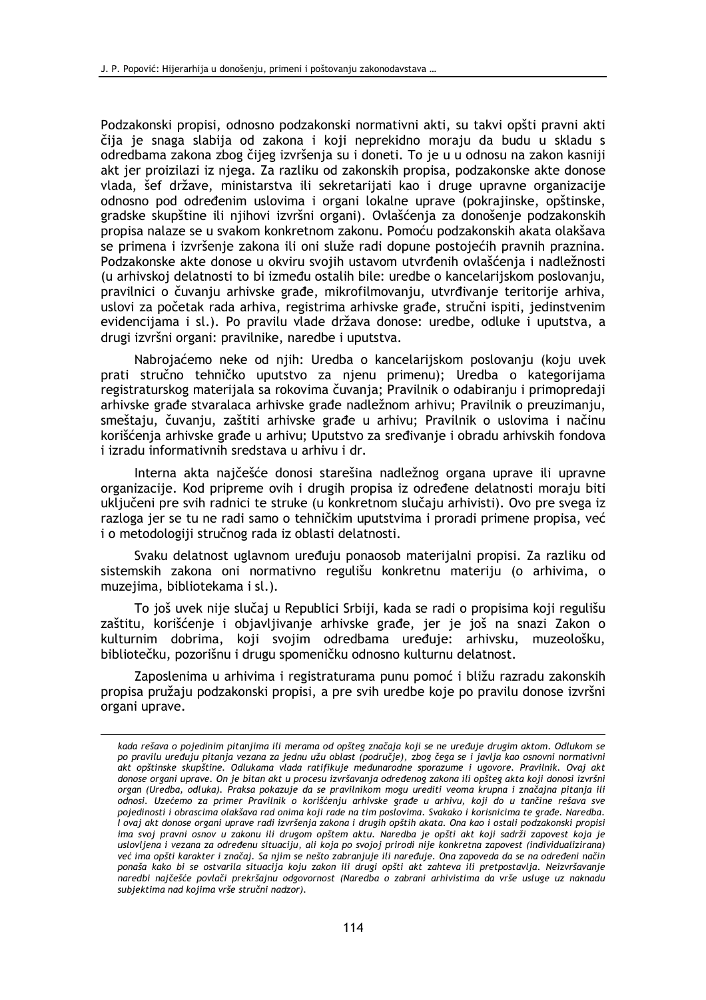Podzakonski propisi, odnosno podzakonski normativni akti, su takvi opšti pravni akti čija je snaga slabija od zakona i koji neprekidno moraju da budu u skladu s odredbama zakona zbog čijeg izvršenja su i doneti. To je u u odnosu na zakon kasniji akt jer proizilazi iz njega. Za razliku od zakonskih propisa, podzakonske akte donose vlada, šef države, ministarstva ili sekretarijati kao i druge upravne organizacije odnosno pod određenim uslovima i organi lokalne uprave (pokrajinske, opštinske, gradske skupštine ili njihovi izvršni organi). Ovlašćenja za donošenje podzakonskih propisa nalaze se u svakom konkretnom zakonu. Pomoću podzakonskih akata olakšava se primena i izvršenje zakona ili oni služe radi dopune postojećih pravnih praznina. Podzakonske akte donose u okviru svojih ustavom utvrđenih ovlašćenja i nadležnosti (u arhivskoj delatnosti to bi između ostalih bile: uredbe o kancelarijskom poslovanju, pravilnici o čuvanju arhivske građe, mikrofilmovanju, utvrđivanje teritorije arhiva, uslovi za početak rada arhiva, registrima arhivske građe, stručni ispiti, jedinstvenim evidencijama i sl.). Po pravilu vlade država donose: uredbe, odluke i uputstva, a drugi izvršni organi: pravilnike, naredbe i uputstva.

Nabrojaćemo neke od njih: Uredba o kancelarijskom poslovanju (koju uvek prati stručno tehničko uputstvo za njenu primenu); Uredba o kategorijama registraturskog materijala sa rokovima čuvanja; Pravilnik o odabiranju i primopredaji arhivske građe stvaralaca arhivske građe nadležnom arhivu; Pravilnik o preuzimanju, smeštaju, čuvanju, zaštiti arhivske građe u arhivu; Pravilnik o uslovima i načinu korišćenja arhivske građe u arhivu; Uputstvo za sređivanje i obradu arhivskih fondova i izradu informativnih sredstava u arhivu i dr.

Interna akta najčešće donosi starešina nadležnog organa uprave ili upravne organizacije. Kod pripreme ovih i drugih propisa iz određene delatnosti moraju biti uključeni pre svih radnici te struke (u konkretnom slučaju arhivisti). Ovo pre svega iz razloga jer se tu ne radi samo o tehničkim uputstvima i proradi primene propisa, već i o metodologiji stručnog rada iz oblasti delatnosti.

Svaku delatnost uglavnom uređuju ponaosob materijalni propisi. Za razliku od sistemskih zakona oni normativno regulišu konkretnu materiju (o arhivima, o muzejima, bibliotekama i sl.).

To još uvek nije slučaj u Republici Srbiji, kada se radi o propisima koji regulišu zaštitu, korišćenje i objavljivanje arhivske građe, jer je još na snazi Zakon o kulturnim dobrima, koji svojim odredbama uređuje: arhivsku, muzeološku, bibliotečku, pozorišnu i drugu spomeničku odnosno kulturnu delatnost.

Zaposlenima u arhivima i registraturama punu pomoć i bližu razradu zakonskih propisa pružaju podzakonski propisi, a pre svih uredbe koje po pravilu donose izvršni organi uprave.

kada rešava o pojedinim pitanjima ili merama od opšteg značaja koji se ne uređuje drugim aktom. Odlukom se po pravilu uređuju pitanja vezana za jednu užu oblast (područje), zbog čega se i javlja kao osnovni normativni akt opštinske skupštine. Odlukama vlada ratifikuje međunarodne sporazume i ugovore. Pravilnik. Ovaj akt donose organi uprave. On je bitan akt u procesu izvršavanja određenog zakona ili opšteg akta koji donosi izvršni organ (Uredba, odluka). Praksa pokazuje da se pravilnikom mogu urediti veoma krupna i značajna pitanja ili odnosi. Uzećemo za primer Pravilnik o korišćenju arhivske građe u arhivu, koji do u tančine rešava sve pojedinosti i obrascima olakšava rad onima koji rade na tim poslovima. Svakako i korisnicima te građe. Naredba. .<br>I ovaj akt donose organi uprave radi izvršenja zakona i drugih opštih akata. Ona kao i ostali podzakonski propisi ima svoj pravni osnov u zakonu ili drugom opštem aktu. Naredba je opšti akt koji sadrži zapovest koja je uslovljena i vezana za određenu situaciju, ali koja po svojoj prirodi nije konkretna zapovest (individualizirana) već ima opšti karakter i značaj. Sa njim se nešto zabranjuje ili naređuje. Ona zapoveda da se na određeni način ponaša kako bi se ostvarila situacija koju zakon ili drugi opšti akt zahteva ili pretpostavlja. Neizvršavanje naredbi najčešće povlači prekršajnu odgovornost (Naredba o zabrani arhivistima da vrše usluge uz naknadu subjektima nad kojima vrše stručni nadzor).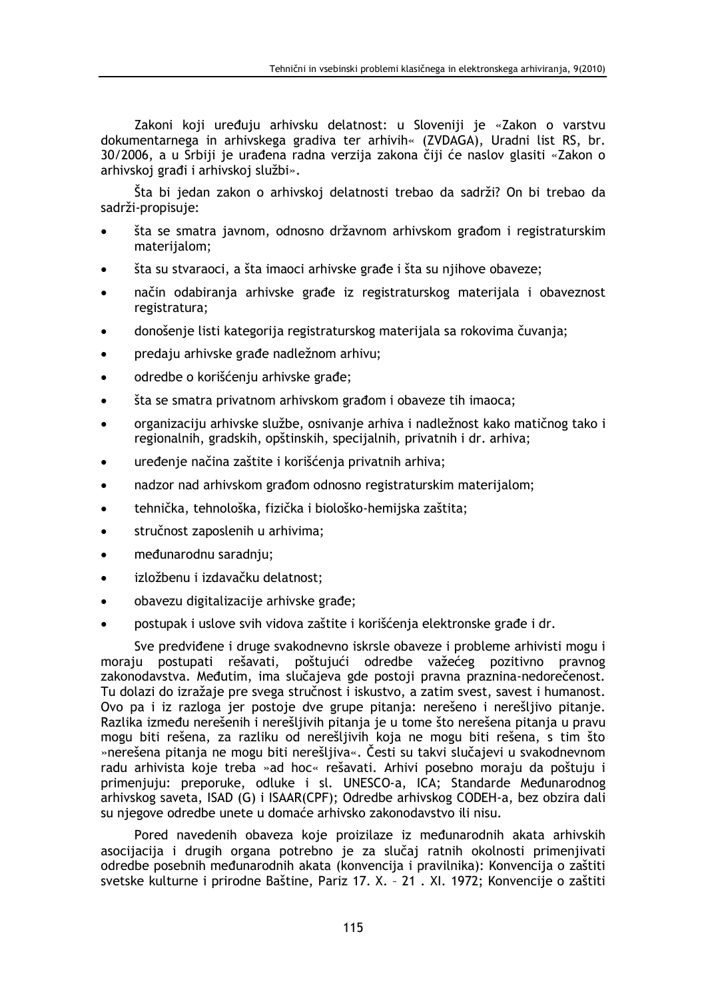Zakoni koji uređuju arhivsku delatnost: u Sloveniji je «Zakon o varstvu dokumentarnega in arhivskega gradiva ter arhivih« (ZVDAGA), Uradni list RS, br. 30/2006, a u Srbiji je urađena radna verzija zakona čiji će naslov glasiti «Zakon o arhivskoj građi i arhivskoj službi».

Šta bi jedan zakon o arhivskoj delatnosti trebao da sadrži? On bi trebao da sadrži-propisuje:

- šta se smatra javnom, odnosno državnom arhivskom građom i registraturskim materijalom;
- šta su stvaraoci, a šta imaoci arhivske građe i šta su njihove obaveze;
- način odabiranja arhivske građe iz registraturskog materijala i obaveznost registratura;
- donošenje listi kategorija registraturskog materijala sa rokovima čuvanja;
- predaju arhivske građe nadležnom arhivu;
- odredbe o korišćenju arhivske građe;
- šta se smatra privatnom arhivskom građom i obaveze tih imaoca;
- organizaciju arhivske službe, osnivanje arhiva i nadležnost kako matičnog tako i regionalnih, gradskih, opštinskih, specijalnih, privatnih i dr. arhiva;
- uređenje načina zaštite i korišćenja privatnih arhiva;
- nadzor nad arhivskom građom odnosno registraturskim materijalom;
- tehnička, tehnološka, fizička i biološko-hemijska zaštita;
- stručnost zaposlenih u arhivima;  $\blacksquare$
- međunarodnu saradnju;  $\bullet$
- izložbenu i izdavačku delatnost;
- obavezu digitalizacije arhivske građe;
- postupak i uslove svih vidova zaštite i korišćenja elektronske građe i dr.

Sve predviđene i druge svakodnevno iskrsle obaveze i probleme arhivisti mogu i moraju postupati rešavati, poštujući odredbe važećeg pozitivno pravnog zakonodavstva. Međutim, ima slučajeva gde postoji pravna praznina-nedorečenost. Tu dolazi do izražaje pre svega stručnost i iskustvo, a zatim svest, savest i humanost. Ovo pa i iz razloga jer postoje dve grupe pitanja: nerešeno i nerešljivo pitanje. Razlika između nerešenih i nerešljivih pitanja je u tome što nerešena pitanja u pravu mogu biti rešena, za razliku od nerešljivih koja ne mogu biti rešena, s tim što »nerešena pitanja ne mogu biti nerešljiva«. Česti su takvi slučajevi u svakodnevnom radu arhivista koje treba »ad hoc« rešavati. Arhivi posebno moraju da poštuju i primeniuju: preporuke, odluke i sl. UNESCO-a, ICA: Standarde Međunarodnog arhivskog saveta, ISAD (G) i ISAAR(CPF); Odredbe arhivskog CODEH-a, bez obzira dali su niegove odredbe unete u domaće arhivsko zakonodavstvo ili nisu.

Pored navedenih obaveza koje proizilaze iz međunarodnih akata arhivskih asocijacija i drugih organa potrebno je za slučaj ratnih okolnosti primenjivati odredbe posebnih međunarodnih akata (konvencija i pravilnika): Konvencija o zaštiti svetske kulturne i prirodne Baštine, Pariz 17. X. - 21 . XI. 1972; Konvencije o zaštiti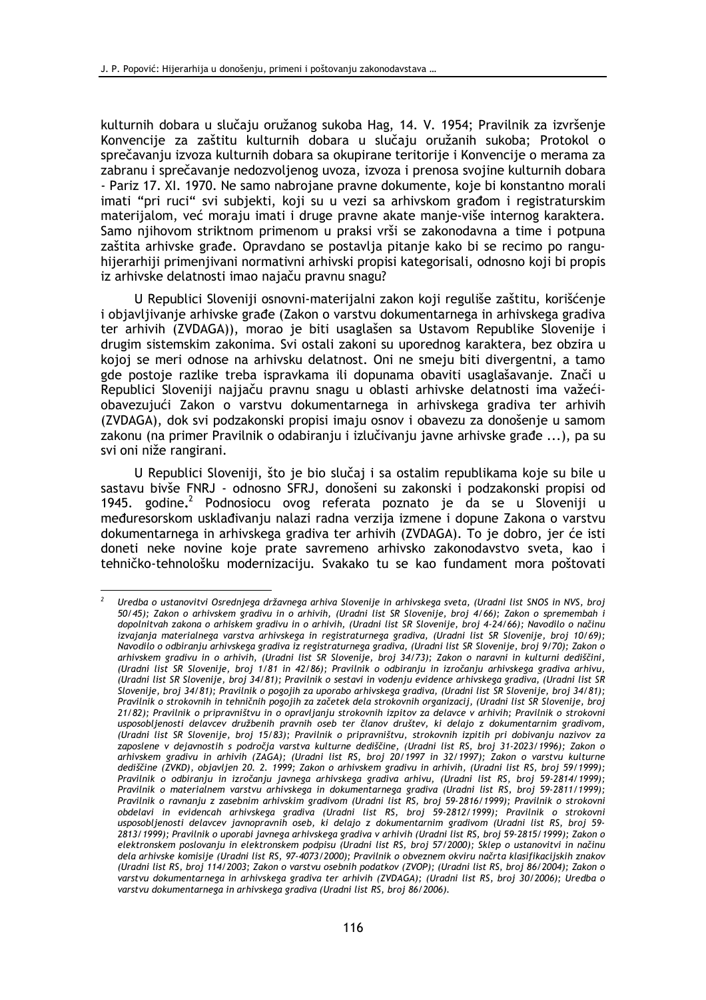kulturnih dobara u slučaju oružanog sukoba Hag, 14. V. 1954; Pravilnik za izvršenje Konvencije za zaštitu kulturnih dobara u slučaju oružanih sukoba; Protokol o sprečavanju izvoza kulturnih dobara sa okupirane teritorije i Konvencije o merama za zabranu i sprečavanje nedozvoljenog uvoza, izvoza i prenosa svojine kulturnih dobara - Pariz 17. XI. 1970. Ne samo nabrojane pravne dokumente, koje bi konstantno morali imati "pri ruci" svi subjekti, koji su u vezi sa arhivskom građom i registraturskim materijalom, već moraju imati i druge pravne akate manje-više internog karaktera. Samo njihovom striktnom primenom u praksi vrši se zakonodavna a time i potpuna zaštita arhivske građe. Opravdano se postavlja pitanje kako bi se recimo po ranguhijerarhiji primenjivani normativni arhivski propisi kategorisali, odnosno koji bi propis iz arhivske delatnosti imao najaču pravnu snagu?

U Republici Sloveniji osnovni-materijalni zakon koji reguliše zaštitu, korišćenje i objavljivanje arhivske građe (Zakon o varstvu dokumentarnega in arhivskega gradiva ter arhivih (ZVDAGA)), morao je biti usaglašen sa Ustavom Republike Slovenije i drugim sistemskim zakonima. Svi ostali zakoni su uporednog karaktera, bez obzira u kojoj se meri odnose na arhivsku delatnost. Oni ne smeju biti divergentni, a tamo gde postoje razlike treba ispravkama ili dopunama obaviti usaglašavanje. Znači u Republici Sloveniji najjaču pravnu snagu u oblasti arhivske delatnosti ima važećiobavezujući Zakon o varstvu dokumentarnega in arhivskega gradiva ter arhivih (ZVDAGA), dok svi podzakonski propisi imaju osnov i obavezu za donošenje u samom zakonu (na primer Pravilnik o odabiranju i izlučivanju javne arhivske građe ...), pa su svi oni niže rangirani.

U Republici Sloveniji, što je bio slučaj i sa ostalim republikama koje su bile u sastavu bivše FNRJ - odnosno SFRJ, donošeni su zakonski i podzakonski propisi od 1945. godine.<sup>2</sup> Podnosiocu ovog referata poznato je da se u Sloveniji u međuresorskom usklađivanju nalazi radna verzija izmene i dopune Zakona o varstvu dokumentarnega in arhivskega gradiva ter arhivih (ZVDAGA). To je dobro, jer će isti doneti neke novine koje prate savremeno arhivsko zakonodavstvo sveta, kao i tehničko-tehnološku modernizaciju. Svakako tu se kao fundament mora poštovati

Uredba o ustanovitvi Osrednjega državnega arhiva Slovenije in arhivskega sveta, (Uradni list SNOS in NVS, broj 50/45); Zakon o arhivskem gradivu in o arhivih, (Uradni list SR Slovenije, broj 4/66); Zakon o spremembah i dopolnitvah zakona o arhiskem gradivu in o arhivih, (Uradni list SR Slovenije, broj 4-24/66); Navodilo o načinu izvajanja materialnega varstva arhivskega in registraturnega gradiva, (Uradni list SR Slovenije, broj 10/69); Navodilo o odbiranju arhivskega gradiva iz registraturnega gradiva, (Uradni list SR Slovenije, broj 9/70); Zakon o arhivskem gradivu in o arhivih, (Uradni list SR Slovenije, broj 34/73); Zakon o naravni in kulturni dediščini, (Uradni list SR Slovenije, broj 1/81 in 42/86); Pravilnik o odbiranju in izročanju arhivskega gradiva arhivu, (Uradni list SR Slovenije, broj 34/81); Pravilnik o sestavi in vodenju evidence arhivskega gradiva, (Uradni list SR Slovenije, broj 34/81); Pravilnik o pogojih za uporabo arhivskega gradiva, (Uradni list SR Slovenije, broj 34/81); Pravilnik o strokovnih in tehničnih pogojih za začetek dela strokovnih organizacij, (Uradni list SR Slovenije, broj 21/82); Pravilnik o pripravništvu in o opravljanju strokovnih izpitov za delavce v arhivih; Pravilnik o strokovni usposobljenosti delavcev družbenih pravnih oseb ter članov društev, ki delajo z dokumentarnim gradivom, (Uradni list SR Slovenije, broj 15/83); Pravilnik o pripravništvu, strokovnih izpitih pri dobivanju nazivov za zaposlene v dejavnostih s področja varstva kulturne dediščine, (Uradni list RS, broj 31-2023/1996); Zakon o arhivskem gradivu in arhivih (ZAGA); (Uradni list RS, broj 20/1997 in 32/1997); Zakon o varstvu kulturne dediščine (ZVKD), objavljen 20. 2. 1999; Zakon o arhivskem gradivu in arhivih, (Uradni list RS, broj 59/1999); Pravilnik o odbiranju in izročanju javnega arhivskega gradiva arhivu, (Uradni list RS, broj 59-2814/1999); Pravilnik o materialnem varstvu arhivskega in dokumentarnega gradiva (Uradni list RS, broj 59-2811/1999); Pravilnik o ravnanju z zasebnim arhivskim gradivom (Uradni list RS, broj 59-2816/1999); Pravilnik o strokovni obdelavi in evidencah arhivskega gradiva (Uradni list RS, broj 59-2812/1999); Pravilnik o strokovni usposobljenosti delavcev javnopravnih oseb, ki delajo z dokumentarnim gradivom (Uradni list RS, broj 59-2813/1999); Pravilnik o uporabi javnega arhivskega gradiva v arhivih (Uradni list RS, broj 59-2815/1999); Zakon o elektronskem poslovanju in elektronskem podpisu (Uradni list RS, broj 57/2000); Sklep o ustanovitvi in načinu dela arhivske komisije (Uradni list RS, 97-4073/2000); Pravilnik o obveznem okviru načrta klasifikacijskih znakov (Uradni list RS, broj 114/2003; Zakon o varstvu osebnih podatkov (ZVOP); (Uradni list RS, broj 86/2004); Zakon o varstvu dokumentarnega in arhivskega gradiva ter arhivih (ZVDAGA); (Uradni list RS, broj 30/2006); Uredba o varstvu dokumentarnega in arhivskega gradiva (Uradni list RS, broj 86/2006).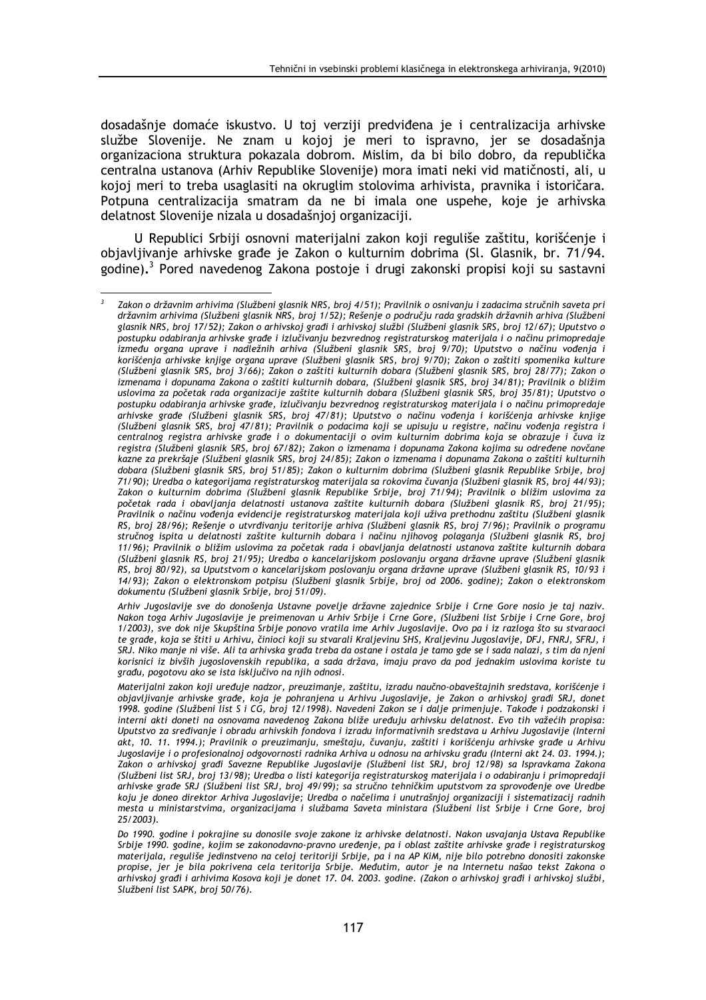dosadašnje domaće iskustvo. U toj verziji predviđena je i centralizacija arhivske službe Slovenije. Ne znam u kojoj je meri to ispravno, jer se dosadašnja organizaciona struktura pokazala dobrom. Mislim, da bi bilo dobro, da republička centralna ustanova (Arhiv Republike Slovenije) mora imati neki vid matičnosti, ali, u kojoj meri to treba usaglasiti na okruglim stolovima arhivista, pravnika i istoričara. Potpuna centralizacija smatram da ne bi imala one uspehe, koje je arhivska delatnost Slovenije nizala u dosadašnjoj organizaciji.

U Republici Srbiji osnovni materijalni zakon koji reguliše zaštitu, korišćenje i objavljivanje arhivske građe je Zakon o kulturnim dobrima (Sl. Glasnik, br. 71/94. godine).<sup>3</sup> Pored navedenog Zakona postoje i drugi zakonski propisi koji su sastavni

Arhiv Jugoslavije sve do donošenja Ustavne povelje državne zajednice Srbije i Crne Gore nosio je taj naziv. Nakon toga Arhiv Jugoslavije je preimenovan u Arhiv Srbije i Crne Gore, (Službeni list Srbije i Crne Gore, broj 1/2003), sve dok nije Skupština Srbije ponovo vratila ime Arhiv Jugoslavije. Ovo pa i iz razloga što su stvaraoci te građe, koja se štiti u Arhivu, činioci koji su stvarali Kraljevinu SHS, Kraljevinu Jugoslavije, DFJ, FNRJ, SFRJ, i SRJ. Niko manje ni više. Ali ta arhivska građa treba da ostane i ostala je tamo gde se i sada nalazi, s tim da njeni korisnici iz bivših jugoslovenskih republika, a sada država, imaju pravo da pod jednakim uslovima koriste tu građu, pogotovu ako se ista isključivo na njih odnosi.

 $\overline{\mathbf{3}}$ Zakon o državnim arhivima (Službeni glasnik NRS, broj 4/51); Pravilnik o osnivanju i zadacima stručnih saveta pri državnim arhivima (Službeni glasnik NRS, broj 1/52); Rešenje o području rada gradskih državnih arhiva (Službeni glasnik NRS, broj 17/52); Zakon o arhivskoj građi i arhivskoj službi (Službeni glasnik SRS, broj 12/67); Uputstvo o postupku odabiranja arhivske građe i izlučivanju bezvrednog registraturskog materijala i o načinu primopredaje između organa uprave i nadležnih arhiva (Službeni glasnik SRS, broj 9/70); Uputstvo o načinu vođenja i korišćenja arhivske knjige organa uprave (Službeni glasnik SRS, broj 9/70); Zakon o zaštiti spomenika kulture (Službeni glasnik SRS, broj 3/66); Zakon o zaštiti kulturnih dobara (Službeni glasnik SRS, broj 28/77); Zakon o izmenama i dopunama Zakona o zaštiti kulturnih dobara, (Službeni glasnik SRS, broj 34/81); Pravilnik o bližim uslovima za početak rada organizacije zaštite kulturnih dobara (Službeni glasnik SRS, broj 35/81); Uputstvo o postupku odabiranja arhivske građe, izlučivanju bezvrednog registraturskog materijala i o načinu primopredaje arhivske građe (Službeni glasnik SRS, broj 47/81); Uputstvo o načinu vođenja i korišćenja arhivske knjige (Službeni glasnik SRS, broj 47/81); Pravilnik o podacima koji se upisuju u registre, načinu vođenja registra i centralnog registra arhivske grade i o dokumentaciji o ovim kulturnim dobrima koja se obrazuje i čuva iz registra (Službeni glasnik SRS, broj 67/82); Zakon o izmenama i dopunama Zakona kojima su određene novčane kazne za prekršaje (Službeni glasnik SRS, broj 24/85); Zakon o izmenama i dopunama Zakona o zaštiti kulturnih dobara (Službeni glasnik SRS, broj 51/85); Zakon o kulturnim dobrima (Službeni glasnik Republike Srbije, broj 71/90); Uredba o kategorijama registraturskog materijala sa rokovima čuvanja (Službeni glasnik RS, broj 44/93); Zakon o kulturnim dobrima (Službeni glasnik Republike Srbije, broj 71/94); Pravilnik o bližim uslovima za početak rada i obavljanja delatnosti ustanova zaštite kulturnih dobara (Službeni glasnik RS, broj 21/95); Pravilnik o načinu vođenja evidencije registraturskog materijala koji uživa prethodnu zaštitu (Službeni glasnik RS, broj 28/96); Rešenje o utvrđivanju teritorije arhiva (Službeni glasnik RS, broj 7/96); Pravilnik o programu stručnog ispita u delatnosti zaštite kulturnih dobara i načinu njihovog polaganja (Službeni glasnik RS, broj 11/96); Pravilnik o bližim uslovima za početak rada i obavljanja delatnosti ustanova zaštite kulturnih dobara (Službeni glasnik RS, broj 21/95); Uredba o kancelarijskom poslovanju organa državne uprave (Službeni glasnik RS, broj 80/92), sa Uputstvom o kancelarijskom poslovanju organa državne uprave (Službeni glasnik RS, 10/93 i 14/93); Zakon o elektronskom potpisu (Službeni glasnik Srbije, broj od 2006. godine); Zakon o elektronskom dokumentu (Službeni glasnik Srbije, broj 51/09).

Materijalni zakon koji uređuje nadzor, preuzimanje, zaštitu, izradu naučno-obaveštajnih sredstava, korišćenje i objavljivanje arhivske građe, koja je pohranjena u Arhivu Jugoslavije, je Zakon o arhivskoj građi SRJ, donet 1998. godine (Službeni list S i CG, broj 12/1998). Navedeni Zakon se i dalje primenjuje. Takođe i podzakonski i interni akti doneti na osnovama navedenog Zakona bliže uređuju arhivsku delatnost. Evo tih važećih propisa: Uputstvo za sređivanje i obradu arhivskih fondova i izradu informativnih sredstava u Arhivu Jugoslavije (Interni akt, 10. 11. 1994.); Pravilnik o preuzimanju, smeštaju, čuvanju, zaštiti i korišćenju arhivske građe u Arhivu Jugoslavije i o profesionalnoj odgovornosti radnika Arhiva u odnosu na arhivsku građu (Interni akt 24. 03. 1994.); Zakon o arhivskoj gradi Savezne Republike Jugoslavije (Službeni list SRJ. broj 12/98) sa Ispravkama Zakona (Službeni list SRJ, broj 13/98); Uredba o listi kategorija registraturskog materijala i o odabiranju i primopredaji arhivske građe SRJ (Službeni list SRJ, broj 49/99); sa stručno tehničkim uputstvom za sprovođenje ove Uredbe koju je doneo direktor Arhiva Jugoslavije: Uredba o načelima i unutrašnjoj organizaciji i sistematizacij radnih mesta u ministarstvima, organizacijama i službama Saveta ministara (Službeni list Srbije i Crne Gore, broj 25/2003).

Do 1990, godine i pokrajine su donosile svoje zakone iz arhivske delatnosti. Nakon usvajanja Ustava Republike Srbije 1990. godine, kojim se zakonodavno-pravno uređenje, pa i oblast zaštite arhivske građe i registraturskog materijala, reguliše jedinstveno na celoj teritoriji Srbije, pa i na AP KiM, nije bilo potrebno donositi zakonske propise, jer je bila pokrivena cela teritorija Srbije. Međutim, autor je na Internetu našao tekst Zakona o<br>arhivskoj gradi i arhivima Kosova koji je donet 17. 04. 2003. godine. (Zakon o arhivskoj gradi i arhivskoj službi, Službeni list SAPK, broj 50/76).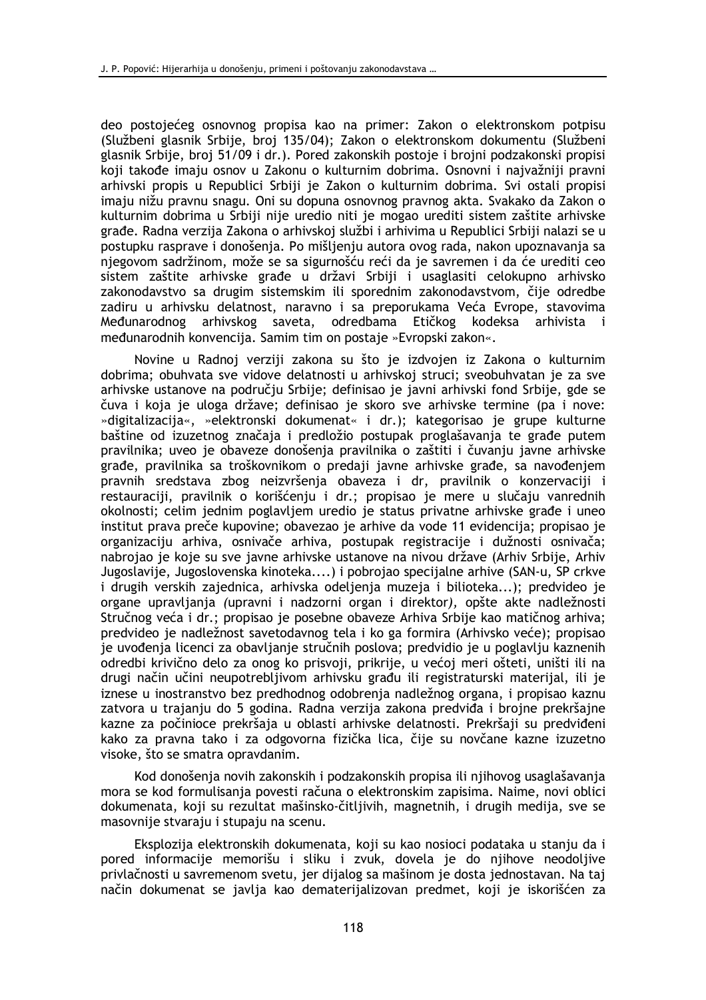deo postojećeg osnovnog propisa kao na primer: Zakon o elektronskom potpisu (Službeni glasnik Srbije, broj 135/04); Zakon o elektronskom dokumentu (Službeni glasnik Srbije, broj 51/09 i dr.). Pored zakonskih postoje i brojni podzakonski propisi koji takođe imaju osnov u Zakonu o kulturnim dobrima. Osnovni i najvažniji pravni arhivski propis u Republici Srbiji je Zakon o kulturnim dobrima. Svi ostali propisi imaju nižu pravnu snagu. Oni su dopuna osnovnog pravnog akta. Svakako da Zakon o kulturnim dobrima u Srbiji nije uredio niti je mogao urediti sistem zaštite arhivske građe. Radna verzija Zakona o arhivskoj službi i arhivima u Republici Srbiji nalazi se u postupku rasprave i donošenja. Po mišljenju autora ovog rada, nakon upoznavanja sa njegovom sadržinom, može se sa sigurnošću reći da je savremen i da će urediti ceo sistem zaštite arhivske građe u državi Srbiji i usaglasiti celokupno arhivsko zakonodavstvo sa drugim sistemskim ili sporednim zakonodavstvom, čije odredbe zadiru u arhivsku delatnost, naravno i sa preporukama Veća Evrope, stavovima Međunarodnog arhivskog saveta, odredbama Etičkog kodeksa arhivista i međunarodnih konvencija. Samim tim on postaje »Evropski zakon«.

Novine u Radnoj verziji zakona su što je izdvojen iz Zakona o kulturnim dobrima; obuhvata sve vidove delatnosti u arhivskoj struci; sveobuhvatan je za sve arhivske ustanove na području Srbije; definisao je javni arhivski fond Srbije, gde se čuva i koja je uloga države; definisao je skoro sve arhivske termine (pa i nove: »digitalizacija«, »elektronski dokumenat« i dr.); kategorisao je grupe kulturne baštine od izuzetnog značaja i predložio postupak proglašavanja te građe putem pravilnika; uveo je obaveze donošenja pravilnika o zaštiti i čuvanju javne arhivske građe, pravilnika sa troškovnikom o predaji javne arhivske građe, sa navođenjem pravnih sredstava zbog neizvršenja obaveza i dr, pravilnik o konzervaciji i restauraciji, pravilnik o korišćeniu i dr.; propisao je mere u slučaju vanrednih okolnosti; celim jednim poglavljem uredio je status privatne arhivske građe i uneo institut prava preče kupovine; obavezao je arhive da vode 11 evidencija; propisao je organizaciju arhiva, osnivače arhiva, postupak registracije i dužnosti osnivača; nabrojao je koje su sve javne arhivske ustanove na nivou države (Arhiv Srbije, Arhiv Jugoslavije, Jugoslovenska kinoteka....) i pobrojao specijalne arhive (SAN-u, SP crkve i drugih verskih zajednica, arhivska odeljenja muzeja i bilioteka...); predvideo je organe upravljanja (upravni i nadzorni organ i direktor), opšte akte nadležnosti Stručnog veća i dr.; propisao je posebne obaveze Arhiva Srbije kao matičnog arhiva; predvideo je nadležnost savetodavnog tela i ko ga formira (Arhivsko veće); propisao je uvođenja licenci za obavljanje stručnih poslova; predvidio je u poglavlju kaznenih odredbi krivično delo za onog ko prisvoji, prikrije, u većoj meri ošteti, uništi ili na drugi način učini neupotrebljivom arhivsku građu ili registraturski materijal, ili je iznese u inostranstvo bez predhodnog odobrenja nadležnog organa, i propisao kaznu zatvora u trajanju do 5 godina. Radna verzija zakona predviđa i brojne prekršajne kazne za počinioce prekršaja u oblasti arhivske delatnosti. Prekršaji su predviđeni kako za pravna tako i za odgovorna fizička lica, čije su novčane kazne izuzetno visoke, što se smatra opravdanim.

Kod donošenja novih zakonskih i podzakonskih propisa ili njihovog usaglašavanja mora se kod formulisanja povesti računa o elektronskim zapisima. Najme, novi oblici dokumenata, koji su rezultat mašinsko-čitljivih, magnetnih, i drugih medija, sve se masovnije stvaraju i stupaju na scenu.

Eksplozija elektronskih dokumenata, koji su kao nosioci podataka u stanju da i pored informacije memorišu i sliku i zvuk, dovela je do njihove neodoljive privlačnosti u savremenom svetu, jer dijalog sa mašinom je dosta jednostavan. Na taj način dokumenat se javlja kao dematerijalizovan predmet, koji je iskorišćen za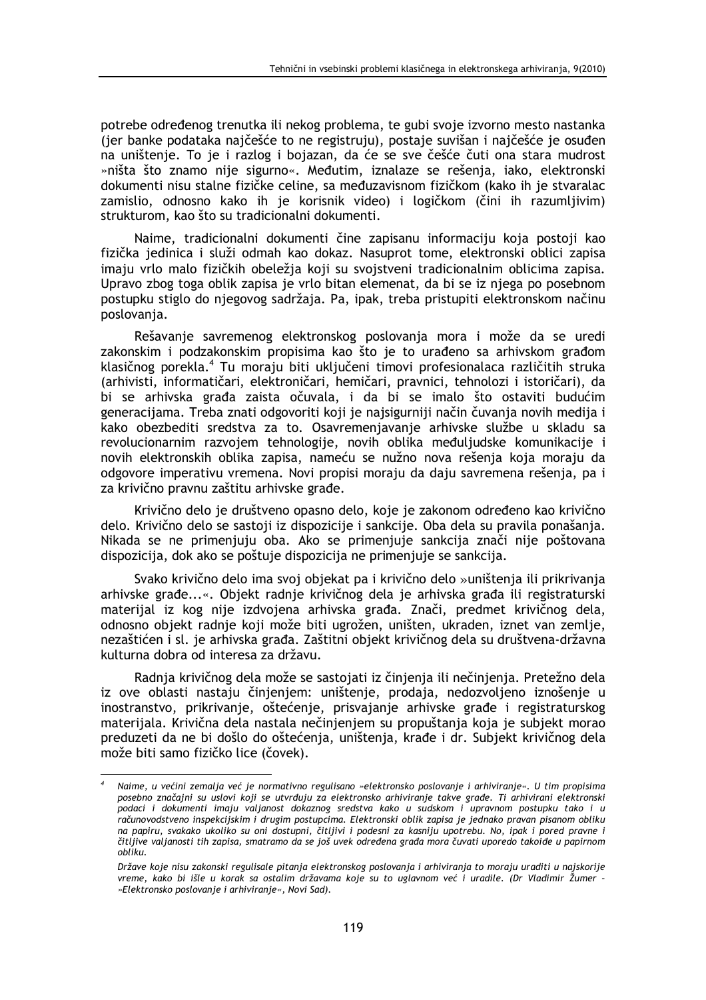potrebe određenog trenutka ili nekog problema, te gubi svoje izvorno mesto nastanka (jer banke podataka najčešće to ne registruju), postaje suvišan i najčešće je osuđen na uništenje. To je i razlog i bojazan, da će se sve češće čuti ona stara mudrost »ništa što znamo nije sigurno«. Međutim, iznalaze se rešenja, iako, elektronski dokumenti nisu stalne fizičke celine, sa međuzavisnom fizičkom (kako ih je stvaralac zamislio, odnosno kako ih je korisnik video) i logičkom (čini ih razumljivim) strukturom, kao što su tradicionalni dokumenti.

Naime, tradicionalni dokumenti čine zapisanu informaciju koja postoji kao fizička jedinica i služi odmah kao dokaz. Nasuprot tome, elektronski oblici zapisa imaju vrlo malo fizičkih obeležja koji su svojstveni tradicionalnim oblicima zapisa. Upravo zbog toga oblik zapisa je vrlo bitan elemenat, da bi se iz njega po posebnom postupku stiglo do njegovog sadržaja. Pa, ipak, treba pristupiti elektronskom načinu poslovania.

Rešavanje savremenog elektronskog poslovanja mora i može da se uredi zakonskim i podzakonskim propisima kao što je to urađeno sa arhivskom građom klasičnog porekla.<sup>4</sup> Tu moraju biti uključeni timovi profesionalaca različitih struka (arhivisti, informatičari, elektroničari, hemičari, pravnici, tehnolozi i istoričari), da bi se arhivska građa zaista očuvala, i da bi se imalo što ostaviti budućim generacijama. Treba znati odgovoriti koji je najsigurniji način čuvanja novih medija i kako obezbediti sredstva za to. Osavremenjavanje arhivske službe u skladu sa revolucionarnim razvojem tehnologije, novih oblika međuljudske komunikacije i novih elektronskih oblika zapisa, nameću se nužno nova rešenja koja moraju da odgovore imperativu vremena. Novi propisi moraju da daju savremena rešenja, pa i za krivično pravnu zaštitu arhivske građe.

Krivično delo je društveno opasno delo, koje je zakonom određeno kao krivično delo. Krivično delo se sastoji iz dispozicije i sankcije. Oba dela su pravila ponašanja. Nikada se ne primenjuju oba. Ako se primenjuje sankcija znači nije poštovana dispozicija, dok ako se poštuje dispozicija ne primenjuje se sankcija.

Svako krivično delo ima svoj objekat pa i krivično delo »uništenja ili prikrivanja arhivske građe...«. Objekt radnje krivičnog dela je arhivska građa ili registraturski materijal iz kog nije izdvojena arhivska građa. Znači, predmet krivičnog dela, odnosno objekt radnje koji može biti ugrožen, uništen, ukraden, iznet van zemlje, nezaštićen i sl. je arhivska građa. Zaštitni objekt krivičnog dela su društvena-državna kulturna dobra od interesa za državu.

Radnja krivičnog dela može se sastojati iz činjenja ili nečinjenja. Pretežno dela iz ove oblasti nastaju činjenjem: uništenje, prodaja, nedozvoljeno iznošenje u inostranstvo, prikrivanje, oštećenje, prisvajanje arhivske građe i registraturskog materijala. Krivična dela nastala nečinjenjem su propuštanja koja je subjekt morao preduzeti da ne bi došlo do oštećenja, uništenja, krađe i dr. Subjekt krivičnog dela može biti samo fizičko lice (čovek).

Naime, u većini zemalja već je normativno regulisano »elektronsko poslovanje i arhiviranje«. U tim propisima posebno značajni su uslovi koji se utvrđuju za elektronsko arhiviranje takve građe. Ti arhivirani elektronski podaci i dokumenti imaju valjanost dokaznog sredstva kako u sudskom i upravnom postupku tako i u računovodstveno inspekcijskim i drugim postupcima. Elektronski oblik zapisa je jednako pravan pisanom obliku na papiru, svakako ukoliko su oni dostupni, čitljivi i podesni za kasniju upotrebu. No, ipak i pored pravne i čitljive valjanosti tih zapisa, smatramo da se još uvek određena građa mora čuvati uporedo takoiđe u papirnom obliku.

Države koje nisu zakonski regulisale pitanja elektronskog poslovanja i arhiviranja to moraju uraditi u najskorije vreme, kako bi išle u korak sa ostalim državama koje su to uglavnom već i uradile. (Dr Vladimir Žumer -»Elektronsko poslovanje i arhiviranje«, Novi Sad).